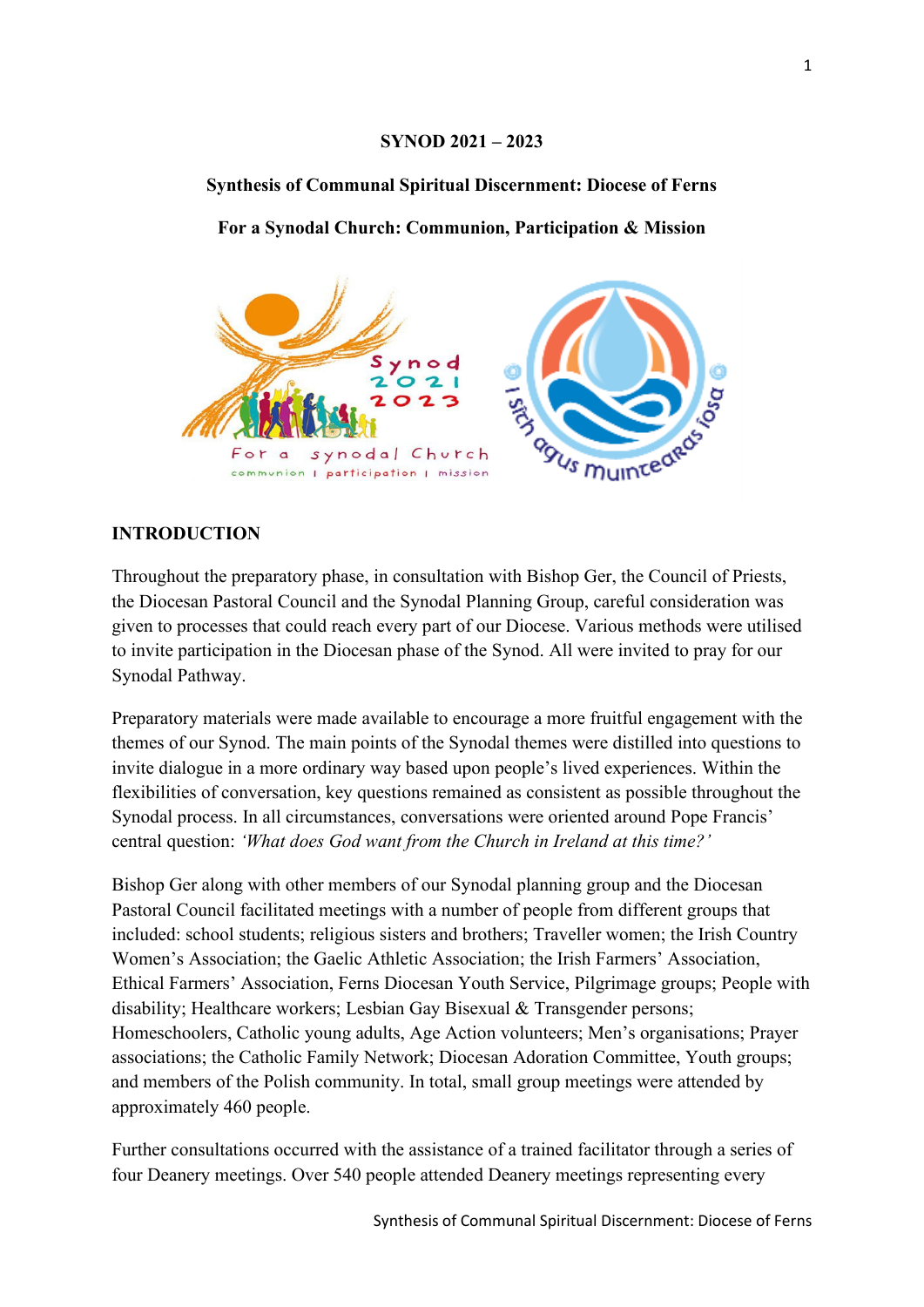### **SYNOD 2021 – 2023**

## **Synthesis of Communal Spiritual Discernment: Diocese of Ferns**

**For a Synodal Church: Communion, Participation & Mission**



# **INTRODUCTION**

Throughout the preparatory phase, in consultation with Bishop Ger, the Council of Priests, the Diocesan Pastoral Council and the Synodal Planning Group, careful consideration was given to processes that could reach every part of our Diocese. Various methods were utilised to invite participation in the Diocesan phase of the Synod. All were invited to pray for our Synodal Pathway.

Preparatory materials were made available to encourage a more fruitful engagement with the themes of our Synod. The main points of the Synodal themes were distilled into questions to invite dialogue in a more ordinary way based upon people's lived experiences. Within the flexibilities of conversation, key questions remained as consistent as possible throughout the Synodal process. In all circumstances, conversations were oriented around Pope Francis' central question: *'What does God want from the Church in Ireland at this time?'*

Bishop Ger along with other members of our Synodal planning group and the Diocesan Pastoral Council facilitated meetings with a number of people from different groups that included: school students; religious sisters and brothers; Traveller women; the Irish Country Women's Association; the Gaelic Athletic Association; the Irish Farmers' Association, Ethical Farmers' Association, Ferns Diocesan Youth Service, Pilgrimage groups; People with disability; Healthcare workers; Lesbian Gay Bisexual & Transgender persons; Homeschoolers, Catholic young adults, Age Action volunteers; Men's organisations; Prayer associations; the Catholic Family Network; Diocesan Adoration Committee, Youth groups; and members of the Polish community. In total, small group meetings were attended by approximately 460 people.

Further consultations occurred with the assistance of a trained facilitator through a series of four Deanery meetings. Over 540 people attended Deanery meetings representing every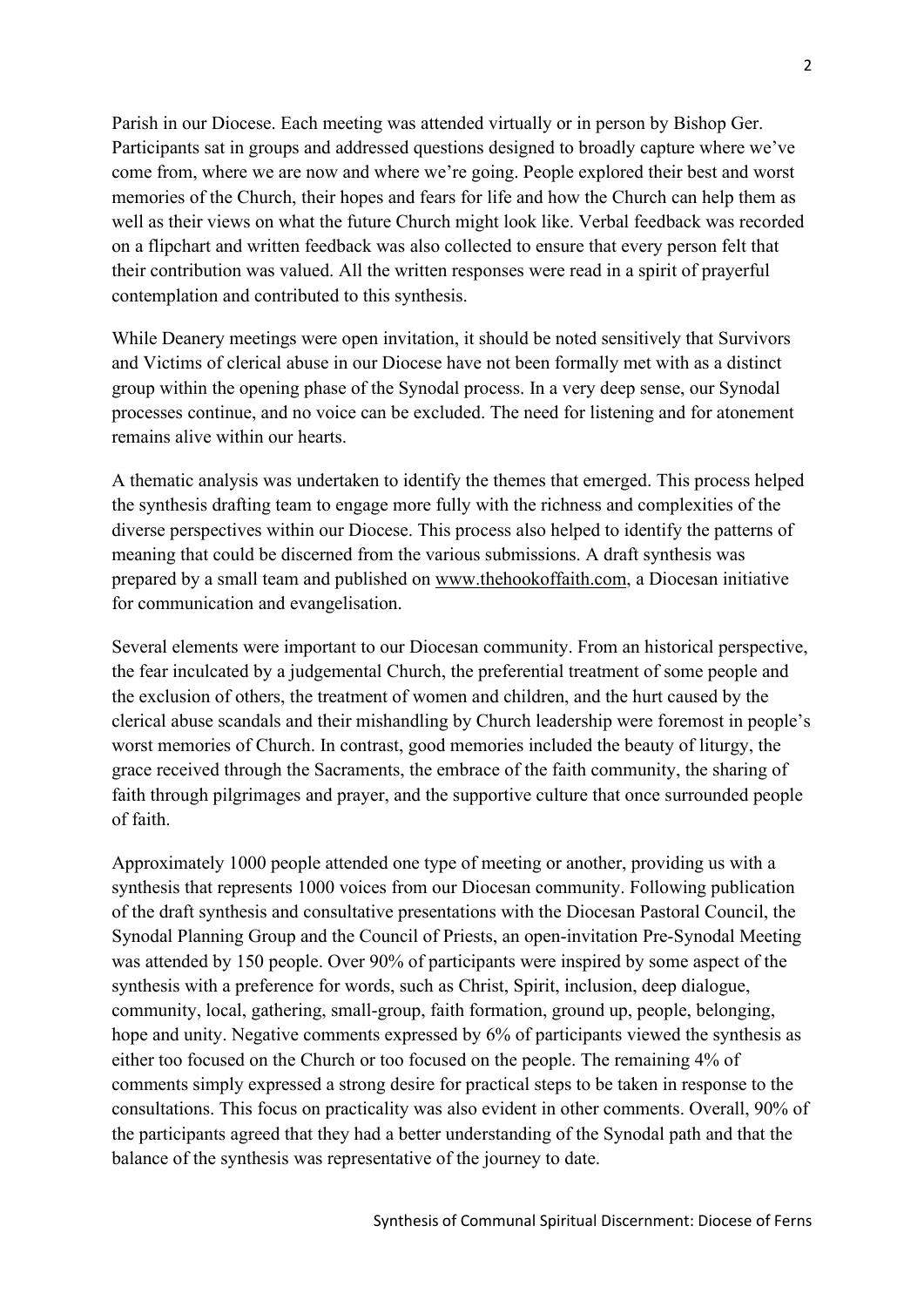Parish in our Diocese. Each meeting was attended virtually or in person by Bishop Ger. Participants sat in groups and addressed questions designed to broadly capture where we've come from, where we are now and where we're going. People explored their best and worst memories of the Church, their hopes and fears for life and how the Church can help them as well as their views on what the future Church might look like. Verbal feedback was recorded on a flipchart and written feedback was also collected to ensure that every person felt that their contribution was valued. All the written responses were read in a spirit of prayerful contemplation and contributed to this synthesis.

While Deanery meetings were open invitation, it should be noted sensitively that Survivors and Victims of clerical abuse in our Diocese have not been formally met with as a distinct group within the opening phase of the Synodal process. In a very deep sense, our Synodal processes continue, and no voice can be excluded. The need for listening and for atonement remains alive within our hearts.

A thematic analysis was undertaken to identify the themes that emerged. This process helped the synthesis drafting team to engage more fully with the richness and complexities of the diverse perspectives within our Diocese. This process also helped to identify the patterns of meaning that could be discerned from the various submissions. A draft synthesis was prepared by a small team and published on [www.thehookoffaith.com,](http://www.thehookoffaith.com/) a Diocesan initiative for communication and evangelisation.

Several elements were important to our Diocesan community. From an historical perspective, the fear inculcated by a judgemental Church, the preferential treatment of some people and the exclusion of others, the treatment of women and children, and the hurt caused by the clerical abuse scandals and their mishandling by Church leadership were foremost in people's worst memories of Church. In contrast, good memories included the beauty of liturgy, the grace received through the Sacraments, the embrace of the faith community, the sharing of faith through pilgrimages and prayer, and the supportive culture that once surrounded people of faith.

Approximately 1000 people attended one type of meeting or another, providing us with a synthesis that represents 1000 voices from our Diocesan community. Following publication of the draft synthesis and consultative presentations with the Diocesan Pastoral Council, the Synodal Planning Group and the Council of Priests, an open-invitation Pre-Synodal Meeting was attended by 150 people. Over 90% of participants were inspired by some aspect of the synthesis with a preference for words, such as Christ, Spirit, inclusion, deep dialogue, community, local, gathering, small-group, faith formation, ground up, people, belonging, hope and unity. Negative comments expressed by 6% of participants viewed the synthesis as either too focused on the Church or too focused on the people. The remaining 4% of comments simply expressed a strong desire for practical steps to be taken in response to the consultations. This focus on practicality was also evident in other comments. Overall, 90% of the participants agreed that they had a better understanding of the Synodal path and that the balance of the synthesis was representative of the journey to date.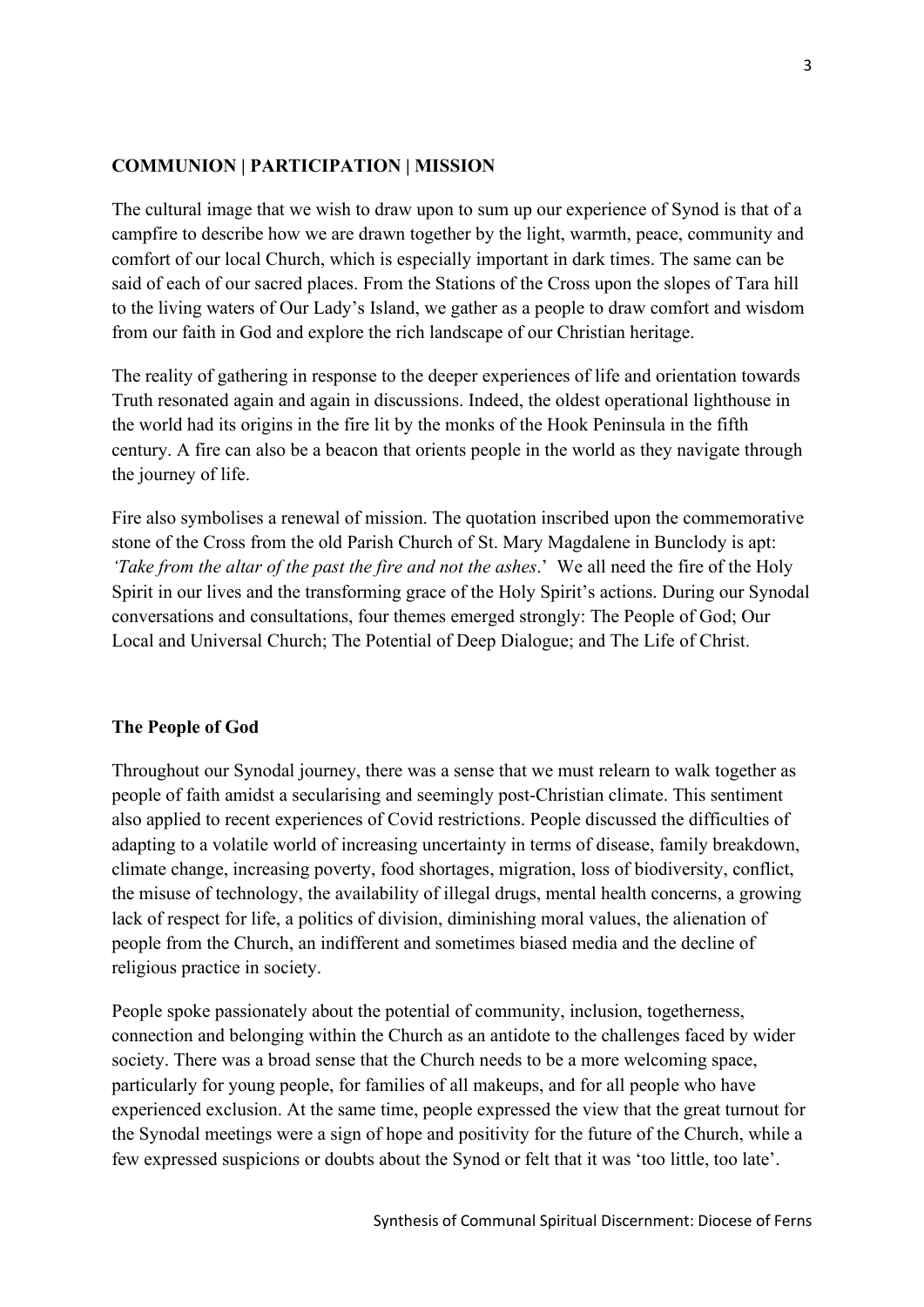### **COMMUNION | PARTICIPATION | MISSION**

The cultural image that we wish to draw upon to sum up our experience of Synod is that of a campfire to describe how we are drawn together by the light, warmth, peace, community and comfort of our local Church, which is especially important in dark times. The same can be said of each of our sacred places. From the Stations of the Cross upon the slopes of Tara hill to the living waters of Our Lady's Island, we gather as a people to draw comfort and wisdom from our faith in God and explore the rich landscape of our Christian heritage.

The reality of gathering in response to the deeper experiences of life and orientation towards Truth resonated again and again in discussions. Indeed, the oldest operational lighthouse in the world had its origins in the fire lit by the monks of the Hook Peninsula in the fifth century. A fire can also be a beacon that orients people in the world as they navigate through the journey of life.

Fire also symbolises a renewal of mission. The quotation inscribed upon the commemorative stone of the Cross from the old Parish Church of St. Mary Magdalene in Bunclody is apt: *'Take from the altar of the past the fire and not the ashes*.' We all need the fire of the Holy Spirit in our lives and the transforming grace of the Holy Spirit's actions. During our Synodal conversations and consultations, four themes emerged strongly: The People of God; Our Local and Universal Church; The Potential of Deep Dialogue; and The Life of Christ.

### **The People of God**

Throughout our Synodal journey, there was a sense that we must relearn to walk together as people of faith amidst a secularising and seemingly post-Christian climate. This sentiment also applied to recent experiences of Covid restrictions. People discussed the difficulties of adapting to a volatile world of increasing uncertainty in terms of disease, family breakdown, climate change, increasing poverty, food shortages, migration, loss of biodiversity, conflict, the misuse of technology, the availability of illegal drugs, mental health concerns, a growing lack of respect for life, a politics of division, diminishing moral values, the alienation of people from the Church, an indifferent and sometimes biased media and the decline of religious practice in society.

People spoke passionately about the potential of community, inclusion, togetherness, connection and belonging within the Church as an antidote to the challenges faced by wider society. There was a broad sense that the Church needs to be a more welcoming space, particularly for young people, for families of all makeups, and for all people who have experienced exclusion. At the same time, people expressed the view that the great turnout for the Synodal meetings were a sign of hope and positivity for the future of the Church, while a few expressed suspicions or doubts about the Synod or felt that it was 'too little, too late'.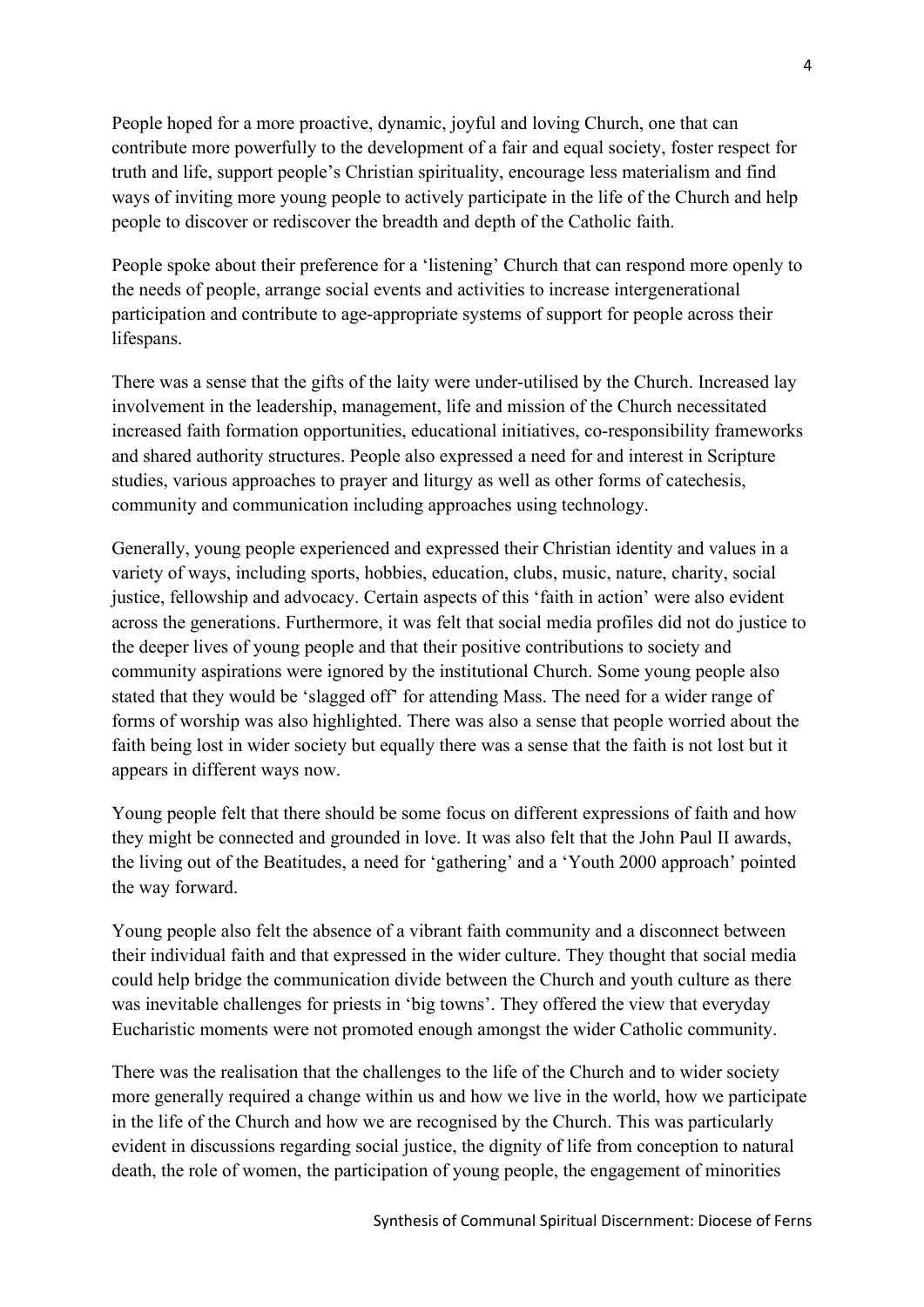People hoped for a more proactive, dynamic, joyful and loving Church, one that can contribute more powerfully to the development of a fair and equal society, foster respect for truth and life, support people's Christian spirituality, encourage less materialism and find ways of inviting more young people to actively participate in the life of the Church and help people to discover or rediscover the breadth and depth of the Catholic faith.

People spoke about their preference for a 'listening' Church that can respond more openly to the needs of people, arrange social events and activities to increase intergenerational participation and contribute to age-appropriate systems of support for people across their lifespans.

There was a sense that the gifts of the laity were under-utilised by the Church. Increased lay involvement in the leadership, management, life and mission of the Church necessitated increased faith formation opportunities, educational initiatives, co-responsibility frameworks and shared authority structures. People also expressed a need for and interest in Scripture studies, various approaches to prayer and liturgy as well as other forms of catechesis, community and communication including approaches using technology.

Generally, young people experienced and expressed their Christian identity and values in a variety of ways, including sports, hobbies, education, clubs, music, nature, charity, social justice, fellowship and advocacy. Certain aspects of this 'faith in action' were also evident across the generations. Furthermore, it was felt that social media profiles did not do justice to the deeper lives of young people and that their positive contributions to society and community aspirations were ignored by the institutional Church. Some young people also stated that they would be 'slagged off' for attending Mass. The need for a wider range of forms of worship was also highlighted. There was also a sense that people worried about the faith being lost in wider society but equally there was a sense that the faith is not lost but it appears in different ways now.

Young people felt that there should be some focus on different expressions of faith and how they might be connected and grounded in love. It was also felt that the John Paul II awards, the living out of the Beatitudes, a need for 'gathering' and a 'Youth 2000 approach' pointed the way forward.

Young people also felt the absence of a vibrant faith community and a disconnect between their individual faith and that expressed in the wider culture. They thought that social media could help bridge the communication divide between the Church and youth culture as there was inevitable challenges for priests in 'big towns'. They offered the view that everyday Eucharistic moments were not promoted enough amongst the wider Catholic community.

There was the realisation that the challenges to the life of the Church and to wider society more generally required a change within us and how we live in the world, how we participate in the life of the Church and how we are recognised by the Church. This was particularly evident in discussions regarding social justice, the dignity of life from conception to natural death, the role of women, the participation of young people, the engagement of minorities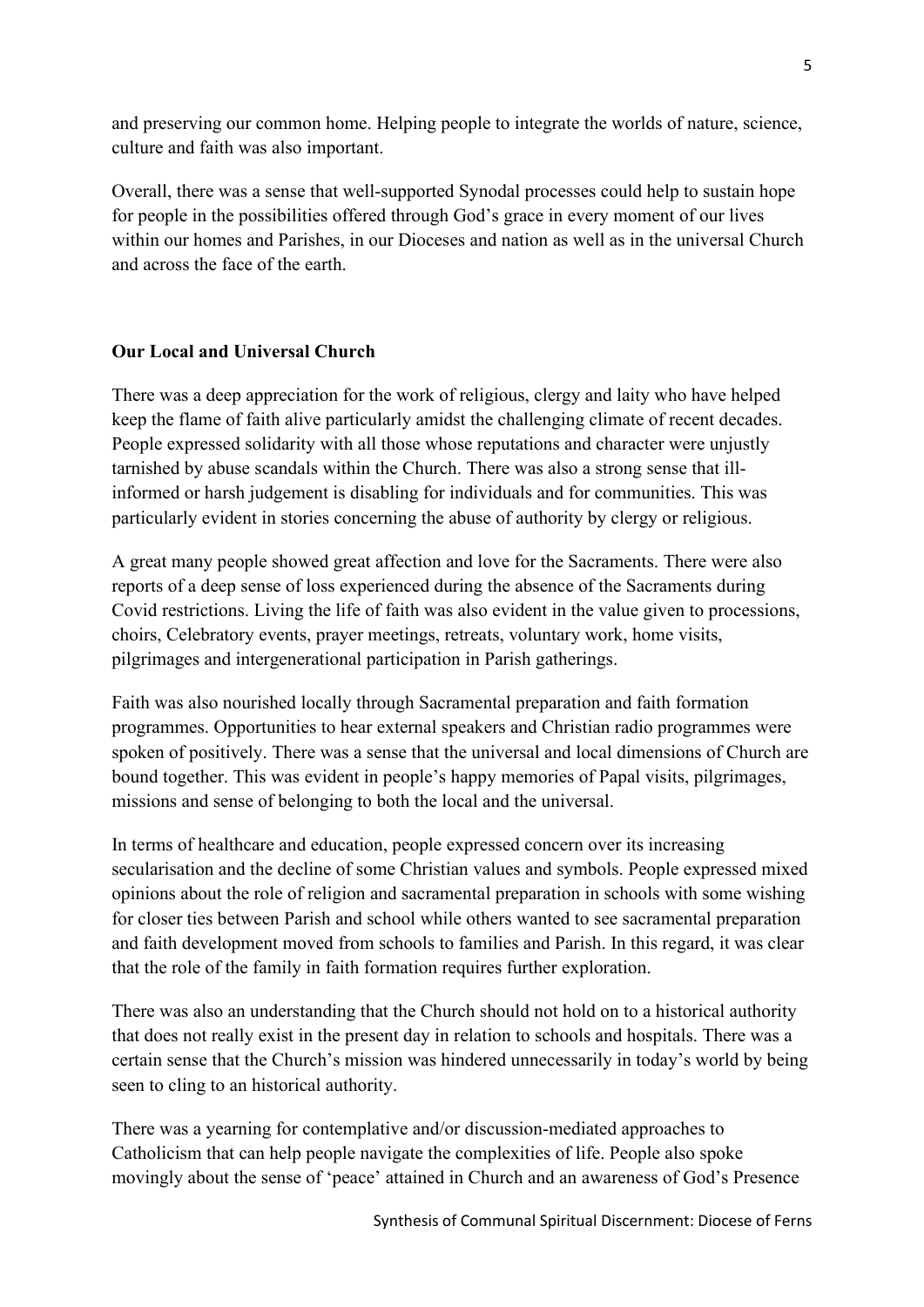and preserving our common home. Helping people to integrate the worlds of nature, science, culture and faith was also important.

Overall, there was a sense that well-supported Synodal processes could help to sustain hope for people in the possibilities offered through God's grace in every moment of our lives within our homes and Parishes, in our Dioceses and nation as well as in the universal Church and across the face of the earth.

## **Our Local and Universal Church**

There was a deep appreciation for the work of religious, clergy and laity who have helped keep the flame of faith alive particularly amidst the challenging climate of recent decades. People expressed solidarity with all those whose reputations and character were unjustly tarnished by abuse scandals within the Church. There was also a strong sense that illinformed or harsh judgement is disabling for individuals and for communities. This was particularly evident in stories concerning the abuse of authority by clergy or religious.

A great many people showed great affection and love for the Sacraments. There were also reports of a deep sense of loss experienced during the absence of the Sacraments during Covid restrictions. Living the life of faith was also evident in the value given to processions, choirs, Celebratory events, prayer meetings, retreats, voluntary work, home visits, pilgrimages and intergenerational participation in Parish gatherings.

Faith was also nourished locally through Sacramental preparation and faith formation programmes. Opportunities to hear external speakers and Christian radio programmes were spoken of positively. There was a sense that the universal and local dimensions of Church are bound together. This was evident in people's happy memories of Papal visits, pilgrimages, missions and sense of belonging to both the local and the universal.

In terms of healthcare and education, people expressed concern over its increasing secularisation and the decline of some Christian values and symbols. People expressed mixed opinions about the role of religion and sacramental preparation in schools with some wishing for closer ties between Parish and school while others wanted to see sacramental preparation and faith development moved from schools to families and Parish. In this regard, it was clear that the role of the family in faith formation requires further exploration.

There was also an understanding that the Church should not hold on to a historical authority that does not really exist in the present day in relation to schools and hospitals. There was a certain sense that the Church's mission was hindered unnecessarily in today's world by being seen to cling to an historical authority.

There was a yearning for contemplative and/or discussion-mediated approaches to Catholicism that can help people navigate the complexities of life. People also spoke movingly about the sense of 'peace' attained in Church and an awareness of God's Presence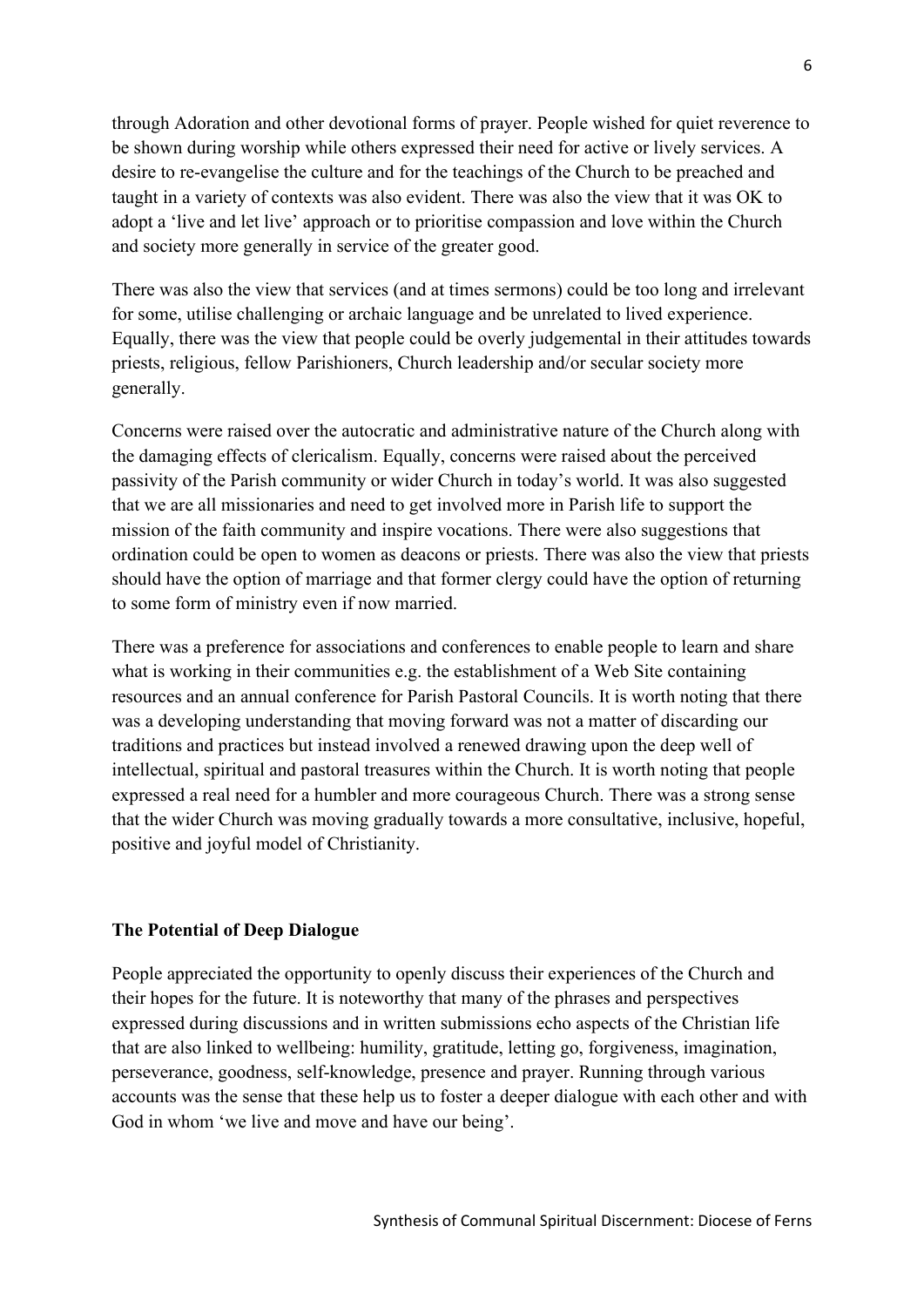through Adoration and other devotional forms of prayer. People wished for quiet reverence to be shown during worship while others expressed their need for active or lively services. A desire to re-evangelise the culture and for the teachings of the Church to be preached and taught in a variety of contexts was also evident. There was also the view that it was OK to adopt a 'live and let live' approach or to prioritise compassion and love within the Church and society more generally in service of the greater good.

There was also the view that services (and at times sermons) could be too long and irrelevant for some, utilise challenging or archaic language and be unrelated to lived experience. Equally, there was the view that people could be overly judgemental in their attitudes towards priests, religious, fellow Parishioners, Church leadership and/or secular society more generally.

Concerns were raised over the autocratic and administrative nature of the Church along with the damaging effects of clericalism. Equally, concerns were raised about the perceived passivity of the Parish community or wider Church in today's world. It was also suggested that we are all missionaries and need to get involved more in Parish life to support the mission of the faith community and inspire vocations. There were also suggestions that ordination could be open to women as deacons or priests. There was also the view that priests should have the option of marriage and that former clergy could have the option of returning to some form of ministry even if now married.

There was a preference for associations and conferences to enable people to learn and share what is working in their communities e.g. the establishment of a Web Site containing resources and an annual conference for Parish Pastoral Councils. It is worth noting that there was a developing understanding that moving forward was not a matter of discarding our traditions and practices but instead involved a renewed drawing upon the deep well of intellectual, spiritual and pastoral treasures within the Church. It is worth noting that people expressed a real need for a humbler and more courageous Church. There was a strong sense that the wider Church was moving gradually towards a more consultative, inclusive, hopeful, positive and joyful model of Christianity.

#### **The Potential of Deep Dialogue**

People appreciated the opportunity to openly discuss their experiences of the Church and their hopes for the future. It is noteworthy that many of the phrases and perspectives expressed during discussions and in written submissions echo aspects of the Christian life that are also linked to wellbeing: humility, gratitude, letting go, forgiveness, imagination, perseverance, goodness, self-knowledge, presence and prayer. Running through various accounts was the sense that these help us to foster a deeper dialogue with each other and with God in whom 'we live and move and have our being'.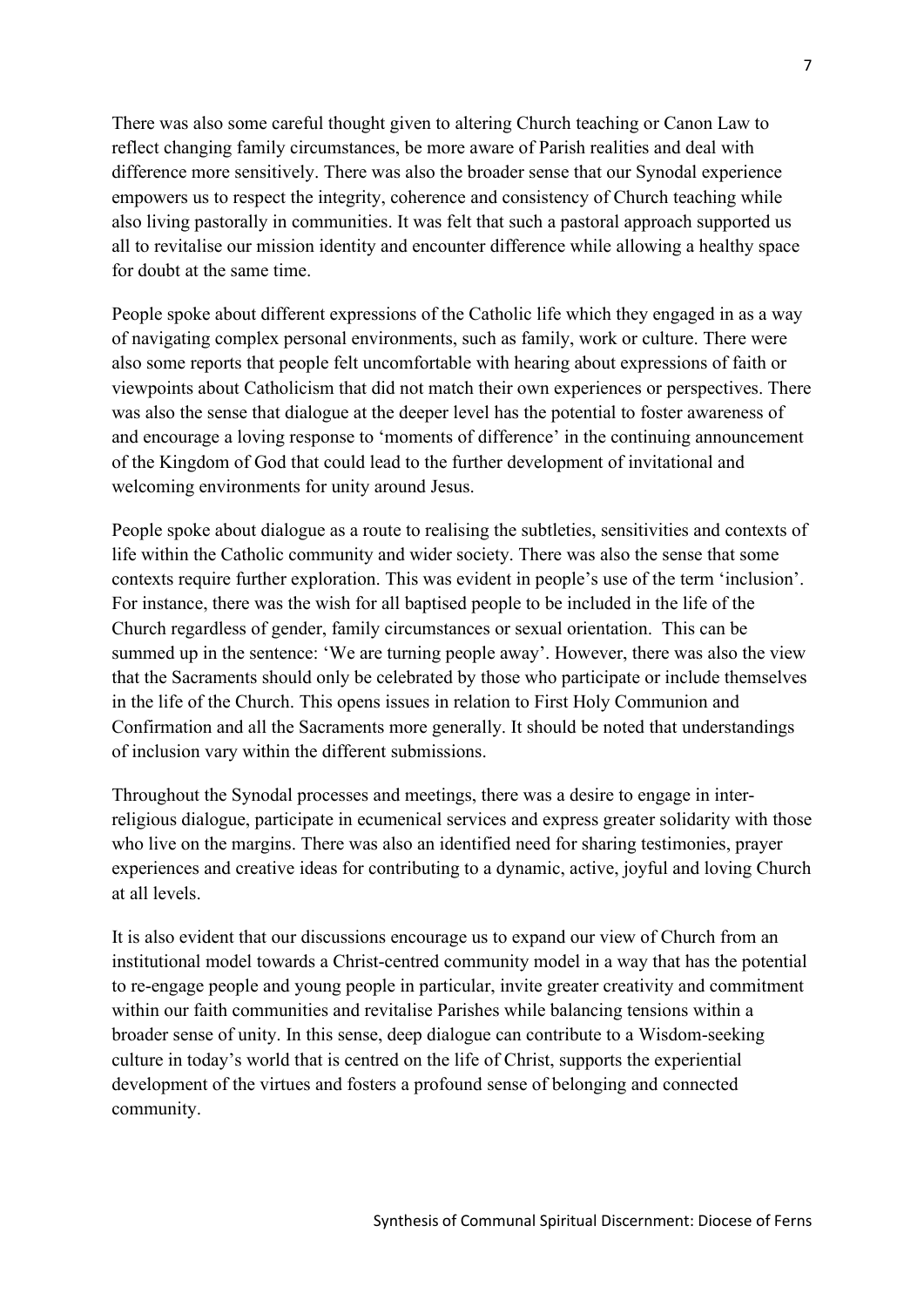There was also some careful thought given to altering Church teaching or Canon Law to reflect changing family circumstances, be more aware of Parish realities and deal with difference more sensitively. There was also the broader sense that our Synodal experience empowers us to respect the integrity, coherence and consistency of Church teaching while also living pastorally in communities. It was felt that such a pastoral approach supported us all to revitalise our mission identity and encounter difference while allowing a healthy space for doubt at the same time.

People spoke about different expressions of the Catholic life which they engaged in as a way of navigating complex personal environments, such as family, work or culture. There were also some reports that people felt uncomfortable with hearing about expressions of faith or viewpoints about Catholicism that did not match their own experiences or perspectives. There was also the sense that dialogue at the deeper level has the potential to foster awareness of and encourage a loving response to 'moments of difference' in the continuing announcement of the Kingdom of God that could lead to the further development of invitational and welcoming environments for unity around Jesus.

People spoke about dialogue as a route to realising the subtleties, sensitivities and contexts of life within the Catholic community and wider society. There was also the sense that some contexts require further exploration. This was evident in people's use of the term 'inclusion'. For instance, there was the wish for all baptised people to be included in the life of the Church regardless of gender, family circumstances or sexual orientation. This can be summed up in the sentence: 'We are turning people away'. However, there was also the view that the Sacraments should only be celebrated by those who participate or include themselves in the life of the Church. This opens issues in relation to First Holy Communion and Confirmation and all the Sacraments more generally. It should be noted that understandings of inclusion vary within the different submissions.

Throughout the Synodal processes and meetings, there was a desire to engage in interreligious dialogue, participate in ecumenical services and express greater solidarity with those who live on the margins. There was also an identified need for sharing testimonies, prayer experiences and creative ideas for contributing to a dynamic, active, joyful and loving Church at all levels.

It is also evident that our discussions encourage us to expand our view of Church from an institutional model towards a Christ-centred community model in a way that has the potential to re-engage people and young people in particular, invite greater creativity and commitment within our faith communities and revitalise Parishes while balancing tensions within a broader sense of unity. In this sense, deep dialogue can contribute to a Wisdom-seeking culture in today's world that is centred on the life of Christ, supports the experiential development of the virtues and fosters a profound sense of belonging and connected community.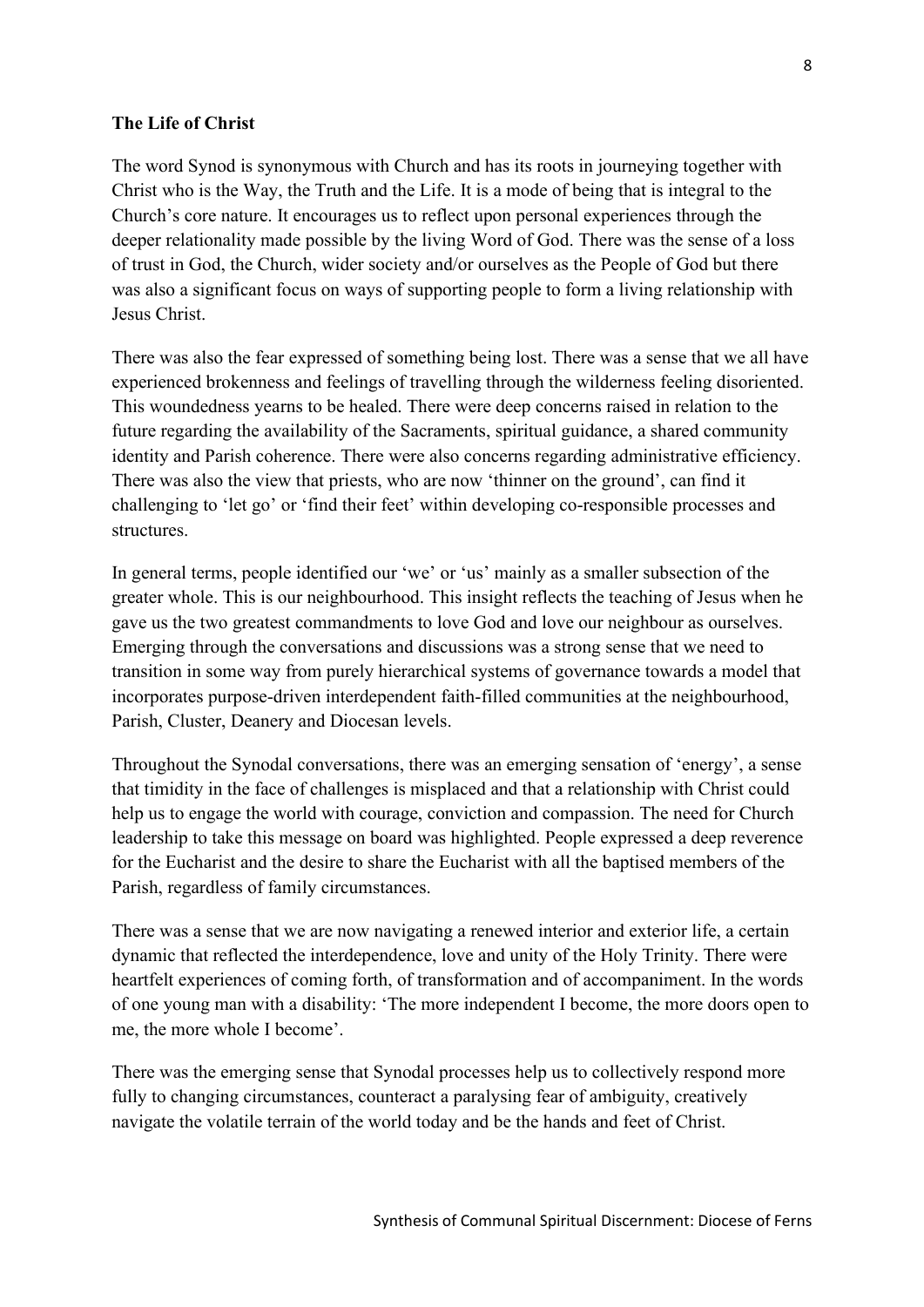#### **The Life of Christ**

The word Synod is synonymous with Church and has its roots in journeying together with Christ who is the Way, the Truth and the Life. It is a mode of being that is integral to the Church's core nature. It encourages us to reflect upon personal experiences through the deeper relationality made possible by the living Word of God. There was the sense of a loss of trust in God, the Church, wider society and/or ourselves as the People of God but there was also a significant focus on ways of supporting people to form a living relationship with Jesus Christ.

There was also the fear expressed of something being lost. There was a sense that we all have experienced brokenness and feelings of travelling through the wilderness feeling disoriented. This woundedness yearns to be healed. There were deep concerns raised in relation to the future regarding the availability of the Sacraments, spiritual guidance, a shared community identity and Parish coherence. There were also concerns regarding administrative efficiency. There was also the view that priests, who are now 'thinner on the ground', can find it challenging to 'let go' or 'find their feet' within developing co-responsible processes and structures.

In general terms, people identified our 'we' or 'us' mainly as a smaller subsection of the greater whole. This is our neighbourhood. This insight reflects the teaching of Jesus when he gave us the two greatest commandments to love God and love our neighbour as ourselves. Emerging through the conversations and discussions was a strong sense that we need to transition in some way from purely hierarchical systems of governance towards a model that incorporates purpose-driven interdependent faith-filled communities at the neighbourhood, Parish, Cluster, Deanery and Diocesan levels.

Throughout the Synodal conversations, there was an emerging sensation of 'energy', a sense that timidity in the face of challenges is misplaced and that a relationship with Christ could help us to engage the world with courage, conviction and compassion. The need for Church leadership to take this message on board was highlighted. People expressed a deep reverence for the Eucharist and the desire to share the Eucharist with all the baptised members of the Parish, regardless of family circumstances.

There was a sense that we are now navigating a renewed interior and exterior life, a certain dynamic that reflected the interdependence, love and unity of the Holy Trinity. There were heartfelt experiences of coming forth, of transformation and of accompaniment. In the words of one young man with a disability: 'The more independent I become, the more doors open to me, the more whole I become'.

There was the emerging sense that Synodal processes help us to collectively respond more fully to changing circumstances, counteract a paralysing fear of ambiguity, creatively navigate the volatile terrain of the world today and be the hands and feet of Christ.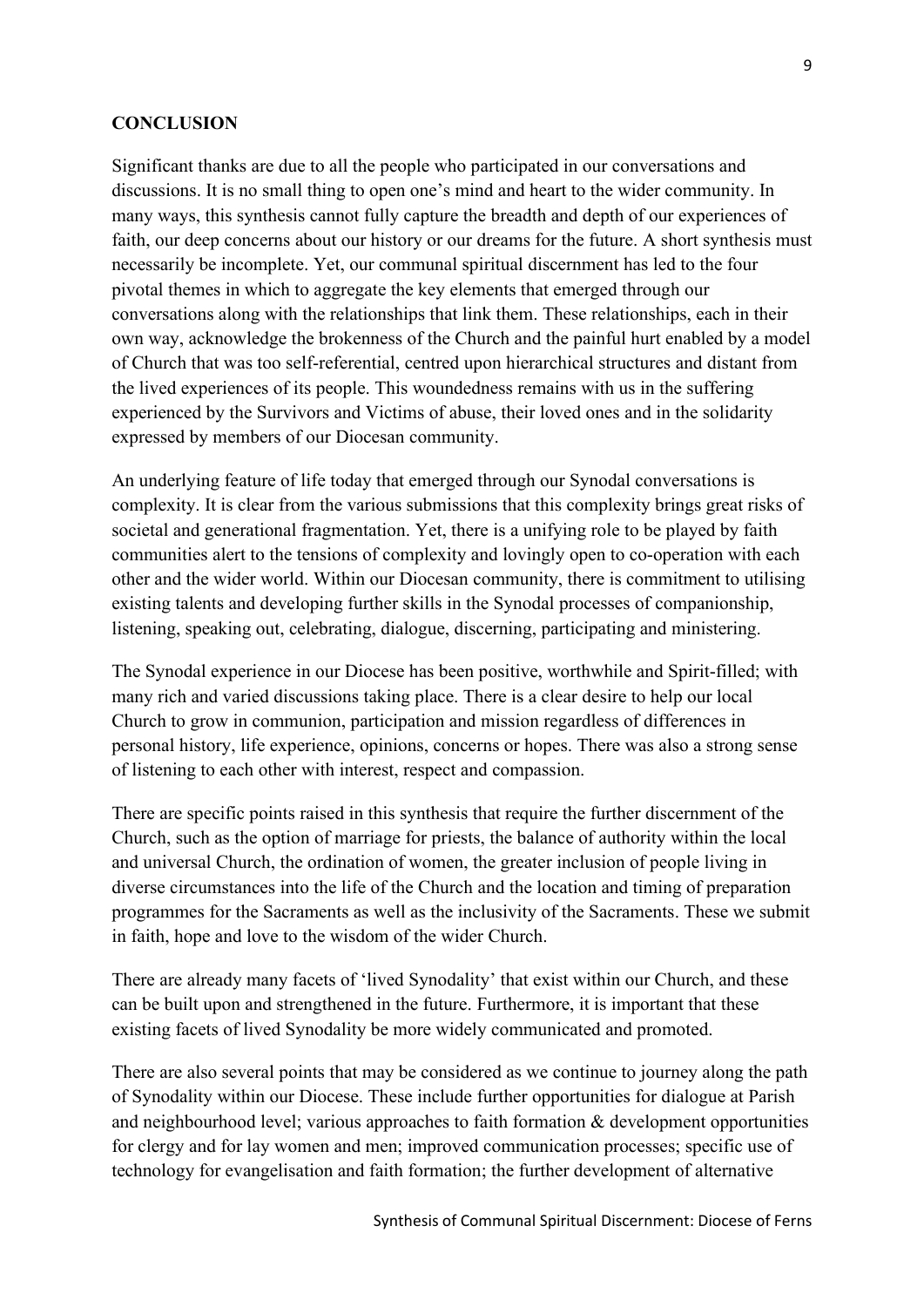#### **CONCLUSION**

Significant thanks are due to all the people who participated in our conversations and discussions. It is no small thing to open one's mind and heart to the wider community. In many ways, this synthesis cannot fully capture the breadth and depth of our experiences of faith, our deep concerns about our history or our dreams for the future. A short synthesis must necessarily be incomplete. Yet, our communal spiritual discernment has led to the four pivotal themes in which to aggregate the key elements that emerged through our conversations along with the relationships that link them. These relationships, each in their own way, acknowledge the brokenness of the Church and the painful hurt enabled by a model of Church that was too self-referential, centred upon hierarchical structures and distant from the lived experiences of its people. This woundedness remains with us in the suffering experienced by the Survivors and Victims of abuse, their loved ones and in the solidarity expressed by members of our Diocesan community.

An underlying feature of life today that emerged through our Synodal conversations is complexity. It is clear from the various submissions that this complexity brings great risks of societal and generational fragmentation. Yet, there is a unifying role to be played by faith communities alert to the tensions of complexity and lovingly open to co-operation with each other and the wider world. Within our Diocesan community, there is commitment to utilising existing talents and developing further skills in the Synodal processes of companionship, listening, speaking out, celebrating, dialogue, discerning, participating and ministering.

The Synodal experience in our Diocese has been positive, worthwhile and Spirit-filled; with many rich and varied discussions taking place. There is a clear desire to help our local Church to grow in communion, participation and mission regardless of differences in personal history, life experience, opinions, concerns or hopes. There was also a strong sense of listening to each other with interest, respect and compassion.

There are specific points raised in this synthesis that require the further discernment of the Church, such as the option of marriage for priests, the balance of authority within the local and universal Church, the ordination of women, the greater inclusion of people living in diverse circumstances into the life of the Church and the location and timing of preparation programmes for the Sacraments as well as the inclusivity of the Sacraments. These we submit in faith, hope and love to the wisdom of the wider Church.

There are already many facets of 'lived Synodality' that exist within our Church, and these can be built upon and strengthened in the future. Furthermore, it is important that these existing facets of lived Synodality be more widely communicated and promoted.

There are also several points that may be considered as we continue to journey along the path of Synodality within our Diocese. These include further opportunities for dialogue at Parish and neighbourhood level; various approaches to faith formation & development opportunities for clergy and for lay women and men; improved communication processes; specific use of technology for evangelisation and faith formation; the further development of alternative